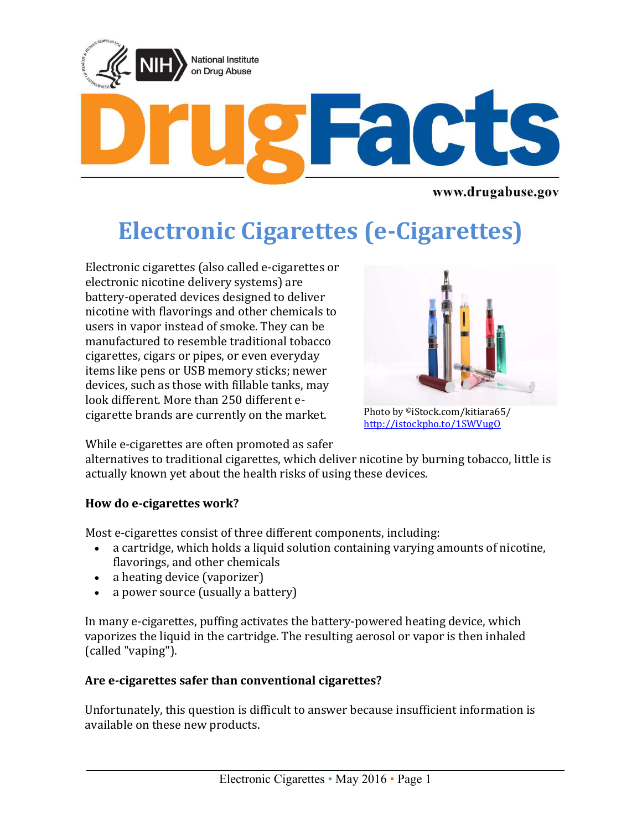

www.drugabuse.gov

# **Electronic Cigarettes (e-Cigarettes)**

Electronic cigarettes (also called e-cigarettes or electronic nicotine delivery systems) are battery-operated devices designed to deliver nicotine with flavorings and other chemicals to users in vapor instead of smoke. They can be manufactured to resemble traditional tobacco cigarettes, cigars or pipes, or even everyday items like pens or USB memory sticks; newer devices, such as those with fillable tanks, may look different. More than 250 different ecigarette brands are currently on the market.



Photo by ©iStock.com/kitiara65/ <http://istockpho.to/1SWVugO>

While e-cigarettes are often promoted as safer

alternatives to traditional cigarettes, which deliver nicotine by burning tobacco, little is actually known yet about the health risks of using these devices.

## **How do e-cigarettes work?**

Most e-cigarettes consist of three different components, including:

- a cartridge, which holds a liquid solution containing varying amounts of nicotine, flavorings, and other chemicals
- a heating device (vaporizer)
- a power source (usually a battery)

In many e-cigarettes, puffing activates the battery-powered heating device, which vaporizes the liquid in the cartridge. The resulting aerosol or vapor is then inhaled (called "vaping").

## **Are e-cigarettes safer than conventional cigarettes?**

Unfortunately, this question is difficult to answer because insufficient information is available on these new products.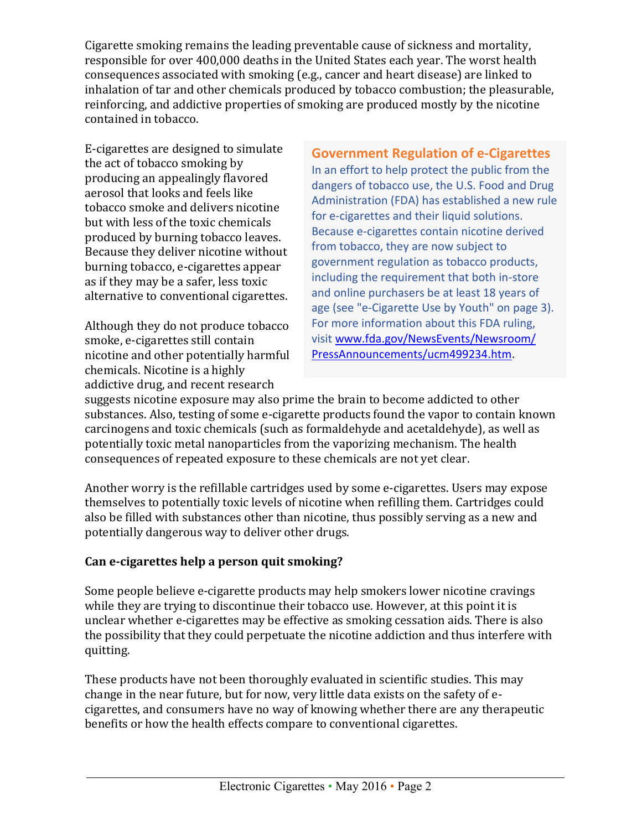Cigarette smoking remains the leading preventable cause of sickness and mortality, responsible for over 400,000 deaths in the United States each year. The worst health consequences associated with smoking (e.g., cancer and heart disease) are linked to inhalation of tar and other chemicals produced by tobacco combustion; the pleasurable, reinforcing, and addictive properties of smoking are produced mostly by the nicotine contained in tobacco.

E-cigarettes are designed to simulate the act of tobacco smoking by producing an appealingly flavored aerosol that looks and feels like tobacco smoke and delivers nicotine but with less of the toxic chemicals produced by burning tobacco leaves. Because they deliver nicotine without burning tobacco, e-cigarettes appear as if they may be a safer, less toxic alternative to conventional cigarettes.

Although they do not produce tobacco smoke, e-cigarettes still contain nicotine and other potentially harmful chemicals. Nicotine is a highly addictive drug, and recent research

**Government Regulation of e-Cigarettes** In an effort to help protect the public from the dangers of tobacco use, the U.S. Food and Drug Administration (FDA) has established a new rule for e-cigarettes and their liquid solutions. Because e-cigarettes contain nicotine derived from tobacco, they are now subject to government regulation as tobacco products, including the requirement that both in-store and online purchasers be at least 18 years of age (see "e-Cigarette Use by Youth" on page 3). For more information about this FDA ruling, visit [www.fda.gov/NewsEvents/Newsroom/](http://www.fda.gov/NewsEvents/Newsroom/PressAnnouncements/ucm499234.htm.) [PressAnnouncements/ucm499234.htm.](http://www.fda.gov/NewsEvents/Newsroom/PressAnnouncements/ucm499234.htm.)

suggests nicotine exposure may also prime the brain to become addicted to other substances. Also, testing of some e-cigarette products found the vapor to contain known carcinogens and toxic chemicals (such as formaldehyde and acetaldehyde), as well as potentially toxic metal nanoparticles from the vaporizing mechanism. The health consequences of repeated exposure to these chemicals are not yet clear.

Another worry is the refillable cartridges used by some e-cigarettes. Users may expose themselves to potentially toxic levels of nicotine when refilling them. Cartridges could also be filled with substances other than nicotine, thus possibly serving as a new and potentially dangerous way to deliver other drugs.

#### **Can e-cigarettes help a person quit smoking?**

Some people believe e-cigarette products may help smokers lower nicotine cravings while they are trying to discontinue their tobacco use. However, at this point it is unclear whether e-cigarettes may be effective as smoking cessation aids. There is also the possibility that they could perpetuate the nicotine addiction and thus interfere with quitting.

These products have not been thoroughly evaluated in scientific studies. This may change in the near future, but for now, very little data exists on the safety of ecigarettes, and consumers have no way of knowing whether there are any therapeutic benefits or how the health effects compare to conventional cigarettes.